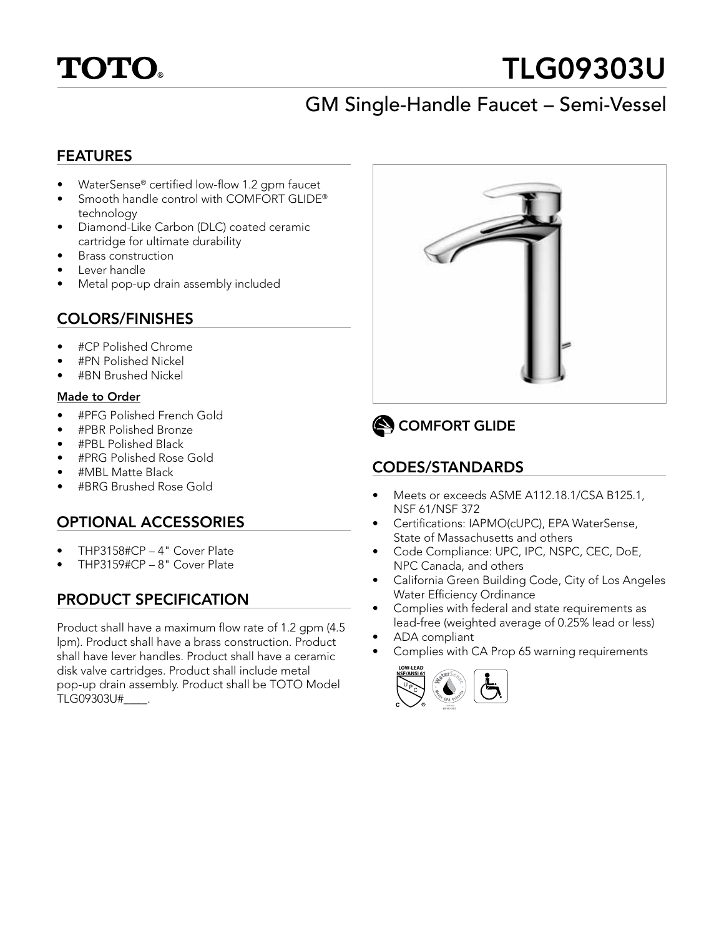

# TLG09303U

# GM Single-Handle Faucet – Semi-Vessel

#### FEATURES

- WaterSense® certified low-flow 1.2 gpm faucet
- Smooth handle control with COMFORT GLIDE® technology
- Diamond-Like Carbon (DLC) coated ceramic cartridge for ultimate durability
- Brass construction
- Lever handle
- Metal pop-up drain assembly included

### COLORS/FINISHES

- #CP Polished Chrome
- #PN Polished Nickel
- #BN Brushed Nickel

#### Made to Order

- #PFG Polished French Gold
- #PBR Polished Bronze
- #PBL Polished Black
- #PRG Polished Rose Gold
- #MBL Matte Black
- #BRG Brushed Rose Gold

### OPTIONAL ACCESSORIES

- THP3158#CP 4" Cover Plate
- THP3159#CP 8" Cover Plate

### PRODUCT SPECIFICATION

Product shall have a maximum flow rate of 1.2 gpm (4.5 lpm). Product shall have a brass construction. Product shall have lever handles. Product shall have a ceramic disk valve cartridges. Product shall include metal pop-up drain assembly. Product shall be TOTO Model TLG09303U#\_\_\_\_.



### COMFORT GLIDE

### CODES/STANDARDS

- Meets or exceeds ASME A112.18.1/CSA B125.1, NSF 61/NSF 372
- Certifications: IAPMO(cUPC), EPA WaterSense, State of Massachusetts and others
- Code Compliance: UPC, IPC, NSPC, CEC, DoE, NPC Canada, and others
- California Green Building Code, City of Los Angeles Water Efficiency Ordinance
- Complies with federal and state requirements as lead-free (weighted average of 0.25% lead or less)
- ADA compliant
- Complies with CA Prop 65 warning requirements